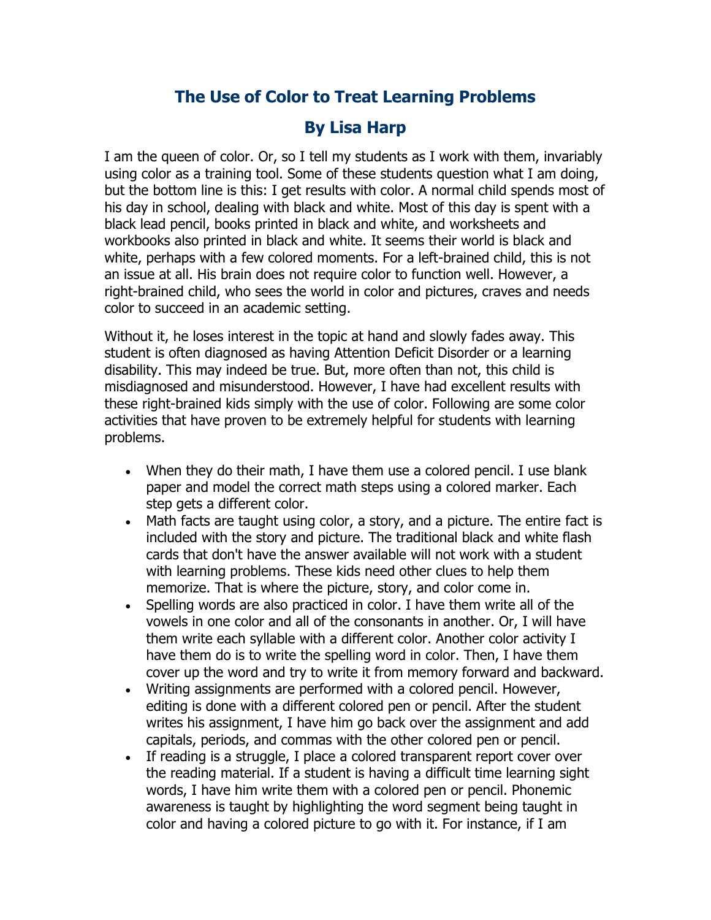## **The Use of Color to Treat Learning Problems**

## **By Lisa Harp**

I am the queen of color. Or, so I tell my students as I work with them, invariably using color as a training tool. Some of these students question what I am doing, but the bottom line is this: I get results with color. A normal child spends most of his day in school, dealing with black and white. Most of this day is spent with a black lead pencil, books printed in black and white, and worksheets and workbooks also printed in black and white. It seems their world is black and white, perhaps with a few colored moments. For a left-brained child, this is not an issue at all. His brain does not require color to function well. However, a right-brained child, who sees the world in color and pictures, craves and needs color to succeed in an academic setting.

Without it, he loses interest in the topic at hand and slowly fades away. This student is often diagnosed as having Attention Deficit Disorder or a learning disability. This may indeed be true. But, more often than not, this child is misdiagnosed and misunderstood. However, I have had excellent results with these right-brained kids simply with the use of color. Following are some color activities that have proven to be extremely helpful for students with learning problems.

- When they do their math, I have them use a colored pencil. I use blank paper and model the correct math steps using a colored marker. Each step gets a different color.
- Math facts are taught using color, a story, and a picture. The entire fact is included with the story and picture. The traditional black and white flash cards that don't have the answer available will not work with a student with learning problems. These kids need other clues to help them memorize. That is where the picture, story, and color come in.
- Spelling words are also practiced in color. I have them write all of the vowels in one color and all of the consonants in another. Or, I will have them write each syllable with a different color. Another color activity I have them do is to write the spelling word in color. Then, I have them cover up the word and try to write it from memory forward and backward.
- Writing assignments are performed with a colored pencil. However, editing is done with a different colored pen or pencil. After the student writes his assignment, I have him go back over the assignment and add capitals, periods, and commas with the other colored pen or pencil.
- If reading is a struggle, I place a colored transparent report cover over the reading material. If a student is having a difficult time learning sight words, I have him write them with a colored pen or pencil. Phonemic awareness is taught by highlighting the word segment being taught in color and having a colored picture to go with it. For instance, if I am